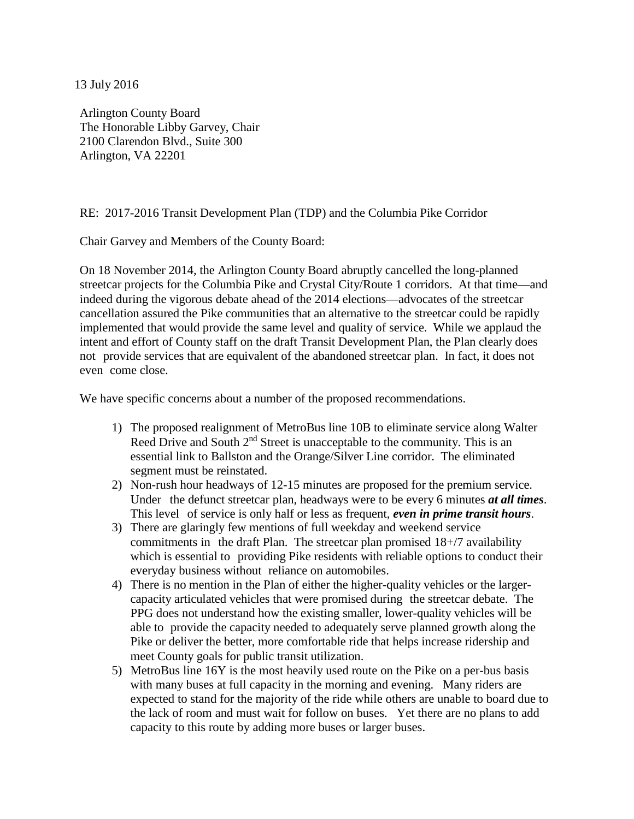13 July 2016

Arlington County Board The Honorable Libby Garvey, Chair 2100 Clarendon Blvd., Suite 300 Arlington, VA 22201

## RE: 2017-2016 Transit Development Plan (TDP) and the Columbia Pike Corridor

Chair Garvey and Members of the County Board:

On 18 November 2014, the Arlington County Board abruptly cancelled the long-planned streetcar projects for the Columbia Pike and Crystal City/Route 1 corridors. At that time—and indeed during the vigorous debate ahead of the 2014 elections—advocates of the streetcar cancellation assured the Pike communities that an alternative to the streetcar could be rapidly implemented that would provide the same level and quality of service. While we applaud the intent and effort of County staff on the draft Transit Development Plan, the Plan clearly does not provide services that are equivalent of the abandoned streetcar plan. In fact, it does not even come close.

We have specific concerns about a number of the proposed recommendations.

- 1) The proposed realignment of MetroBus line 10B to eliminate service along Walter Reed Drive and South 2<sup>nd</sup> Street is unacceptable to the community. This is an essential link to Ballston and the Orange/Silver Line corridor. The eliminated segment must be reinstated.
- 2) Non-rush hour headways of 12-15 minutes are proposed for the premium service. Under the defunct streetcar plan, headways were to be every 6 minutes *at all times*. This level of service is only half or less as frequent, *even in prime transit hours*.
- 3) There are glaringly few mentions of full weekday and weekend service commitments in the draft Plan. The streetcar plan promised 18+/7 availability which is essential to providing Pike residents with reliable options to conduct their everyday business without reliance on automobiles.
- 4) There is no mention in the Plan of either the higher-quality vehicles or the largercapacity articulated vehicles that were promised during the streetcar debate. The PPG does not understand how the existing smaller, lower-quality vehicles will be able to provide the capacity needed to adequately serve planned growth along the Pike or deliver the better, more comfortable ride that helps increase ridership and meet County goals for public transit utilization.
- 5) MetroBus line 16Y is the most heavily used route on the Pike on a per-bus basis with many buses at full capacity in the morning and evening. Many riders are expected to stand for the majority of the ride while others are unable to board due to the lack of room and must wait for follow on buses. Yet there are no plans to add capacity to this route by adding more buses or larger buses.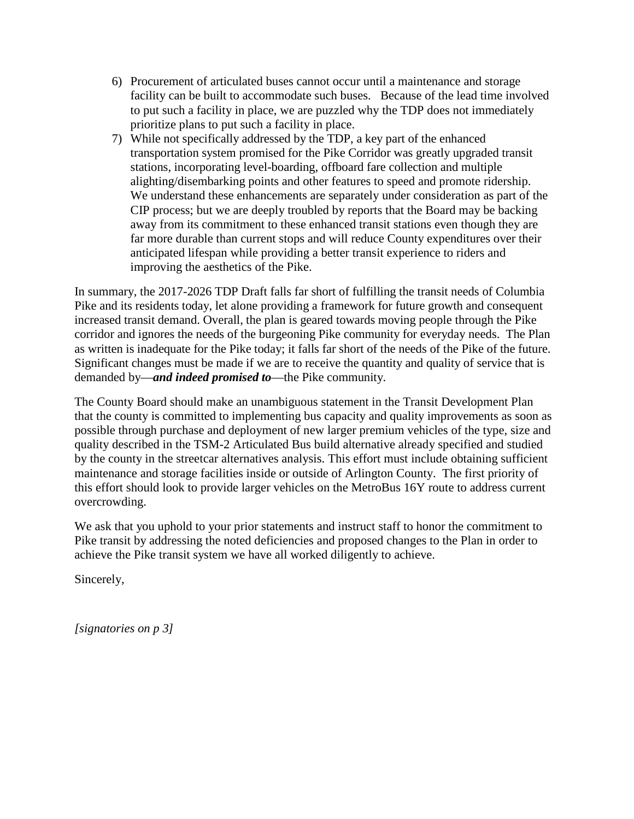- 6) Procurement of articulated buses cannot occur until a maintenance and storage facility can be built to accommodate such buses. Because of the lead time involved to put such a facility in place, we are puzzled why the TDP does not immediately prioritize plans to put such a facility in place.
- 7) While not specifically addressed by the TDP, a key part of the enhanced transportation system promised for the Pike Corridor was greatly upgraded transit stations, incorporating level-boarding, offboard fare collection and multiple alighting/disembarking points and other features to speed and promote ridership. We understand these enhancements are separately under consideration as part of the CIP process; but we are deeply troubled by reports that the Board may be backing away from its commitment to these enhanced transit stations even though they are far more durable than current stops and will reduce County expenditures over their anticipated lifespan while providing a better transit experience to riders and improving the aesthetics of the Pike.

In summary, the 2017-2026 TDP Draft falls far short of fulfilling the transit needs of Columbia Pike and its residents today, let alone providing a framework for future growth and consequent increased transit demand. Overall, the plan is geared towards moving people through the Pike corridor and ignores the needs of the burgeoning Pike community for everyday needs. The Plan as written is inadequate for the Pike today; it falls far short of the needs of the Pike of the future. Significant changes must be made if we are to receive the quantity and quality of service that is demanded by—*and indeed promised to*—the Pike community.

The County Board should make an unambiguous statement in the Transit Development Plan that the county is committed to implementing bus capacity and quality improvements as soon as possible through purchase and deployment of new larger premium vehicles of the type, size and quality described in the TSM-2 Articulated Bus build alternative already specified and studied by the county in the streetcar alternatives analysis. This effort must include obtaining sufficient maintenance and storage facilities inside or outside of Arlington County. The first priority of this effort should look to provide larger vehicles on the MetroBus 16Y route to address current overcrowding.

We ask that you uphold to your prior statements and instruct staff to honor the commitment to Pike transit by addressing the noted deficiencies and proposed changes to the Plan in order to achieve the Pike transit system we have all worked diligently to achieve.

Sincerely,

*[signatories on p 3]*